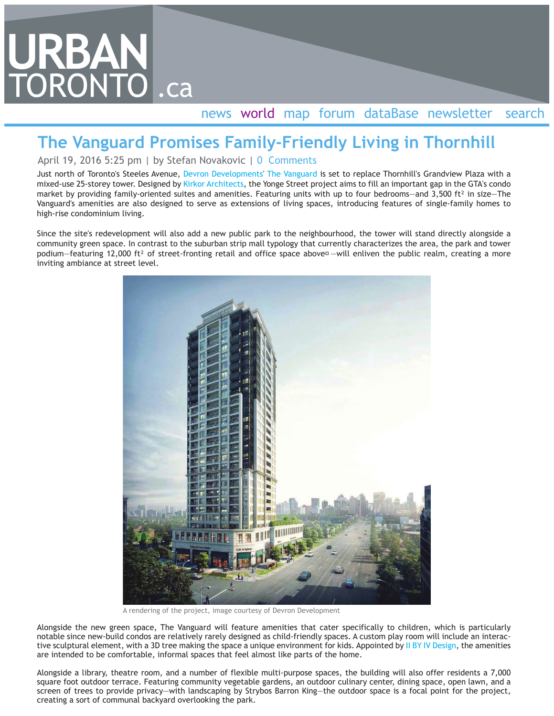## **URBAN** TORONTO .ca

## news world map forum dataBase newsletter search

## **The Vanguard Promises Family-Friendly Living in Thornhill**

April 19, 2016 5:25 pm | by Stefan Novakovic | 0 Comments

Just north of Toronto's Steeles Avenue, Devron Developments' The Vanguard is set to replace Thornhill's Grandview Plaza with a mixed-use 25-storey tower. Designed by Kirkor Architects, the Yonge Street project aims to fill an important gap in the GTA's condo market by providing family-oriented suites and amenities. Featuring units with up to four bedrooms—and  $3,500$  ft<sup>2</sup> in size—The Vanguard's amenities are also designed to serve as extensions of living spaces, introducing features of single-family homes to high-rise condominium living.

Since the site's redevelopment will also add a new public park to the neighbourhood, the tower will stand directly alongside a community green space. In contrast to the suburban strip mall typology that currently characterizes the area, the park and tower podium–featuring 12,000 ft<sup>2</sup> of street-fronting retail and office space above<sup> $-$ </sup> will enliven the public realm, creating a more inviting ambiance at street level.



A rendering of the project, image courtesy of Devron Development

Alongside the new green space, The Vanguard will feature amenities that cater specifically to children, which is particularly notable since new-build condos are relatively rarely designed as child-friendly spaces. A custom play room will include an interactive sculptural element, with a 3D tree making the space a unique environment for kids. Appointed by II BY IV Design, the amenities are intended to be comfortable, informal spaces that feel almost like parts of the home.

Alongside a library, theatre room, and a number of flexible multi-purpose spaces, the building will also offer residents a 7,000 square foot outdoor terrace. Featuring community vegetable gardens, an outdoor culinary center, dining space, open lawn, and a screen of trees to provide privacy—with landscaping by Strybos Barron King—the outdoor space is a focal point for the project, creating a sort of communal backyard overlooking the park.